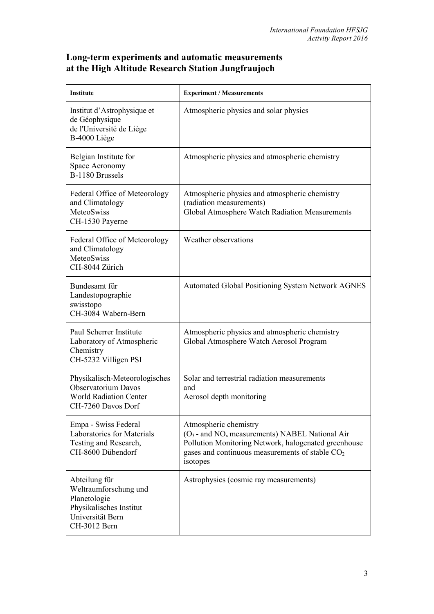## **Long-term experiments and automatic measurements at the High Altitude Research Station Jungfraujoch**

| Institute                                                                                                             | <b>Experiment / Measurements</b>                                                                                                                                                                                |
|-----------------------------------------------------------------------------------------------------------------------|-----------------------------------------------------------------------------------------------------------------------------------------------------------------------------------------------------------------|
| Institut d'Astrophysique et<br>de Géophysique<br>de l'Université de Liège<br>B-4000 Liège                             | Atmospheric physics and solar physics                                                                                                                                                                           |
| Belgian Institute for<br>Space Aeronomy<br>B-1180 Brussels                                                            | Atmospheric physics and atmospheric chemistry                                                                                                                                                                   |
| Federal Office of Meteorology<br>and Climatology<br>MeteoSwiss<br>CH-1530 Payerne                                     | Atmospheric physics and atmospheric chemistry<br>(radiation measurements)<br>Global Atmosphere Watch Radiation Measurements                                                                                     |
| Federal Office of Meteorology<br>and Climatology<br><b>MeteoSwiss</b><br>CH-8044 Zürich                               | Weather observations                                                                                                                                                                                            |
| Bundesamt für<br>Landestopographie<br>swisstopo<br>CH-3084 Wabern-Bern                                                | <b>Automated Global Positioning System Network AGNES</b>                                                                                                                                                        |
| Paul Scherrer Institute<br>Laboratory of Atmospheric<br>Chemistry<br>CH-5232 Villigen PSI                             | Atmospheric physics and atmospheric chemistry<br>Global Atmosphere Watch Aerosol Program                                                                                                                        |
| Physikalisch-Meteorologisches<br><b>Observatorium Davos</b><br><b>World Radiation Center</b><br>CH-7260 Davos Dorf    | Solar and terrestrial radiation measurements<br>and<br>Aerosol depth monitoring                                                                                                                                 |
| Empa - Swiss Federal<br>Laboratories for Materials<br>Testing and Research,<br>CH-8600 Dübendorf                      | Atmospheric chemistry<br>$(O_3$ - and NO <sub>x</sub> measurements) NABEL National Air<br>Pollution Monitoring Network, halogenated greenhouse<br>gases and continuous measurements of stable $CO2$<br>isotopes |
| Abteilung für<br>Weltraumforschung und<br>Planetologie<br>Physikalisches Institut<br>Universität Bern<br>CH-3012 Bern | Astrophysics (cosmic ray measurements)                                                                                                                                                                          |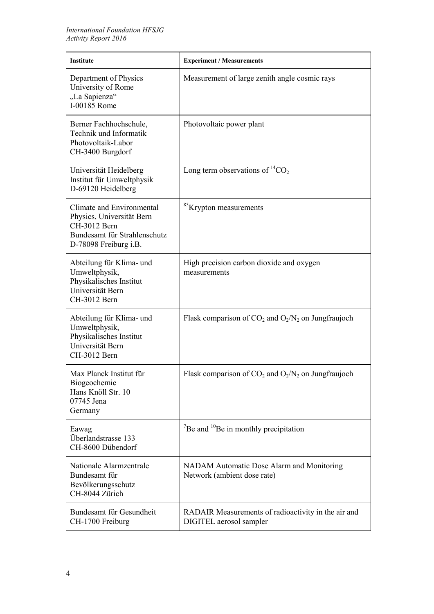| <b>Institute</b>                                                                                                                | <b>Experiment / Measurements</b>                                               |
|---------------------------------------------------------------------------------------------------------------------------------|--------------------------------------------------------------------------------|
| Department of Physics<br>University of Rome<br>"La Sapienza"<br>I-00185 Rome                                                    | Measurement of large zenith angle cosmic rays                                  |
| Berner Fachhochschule,<br>Technik und Informatik<br>Photovoltaik-Labor<br>CH-3400 Burgdorf                                      | Photovoltaic power plant                                                       |
| Universität Heidelberg<br>Institut für Umweltphysik<br>D-69120 Heidelberg                                                       | Long term observations of ${}^{14}CO_2$                                        |
| Climate and Environmental<br>Physics, Universität Bern<br>CH-3012 Bern<br>Bundesamt für Strahlenschutz<br>D-78098 Freiburg i.B. | <sup>85</sup> Krypton measurements                                             |
| Abteilung für Klima- und<br>Umweltphysik,<br>Physikalisches Institut<br>Universität Bern<br>CH-3012 Bern                        | High precision carbon dioxide and oxygen<br>measurements                       |
| Abteilung für Klima- und<br>Umweltphysik,<br>Physikalisches Institut<br>Universität Bern<br>CH-3012 Bern                        | Flask comparison of $CO_2$ and $O_2/N_2$ on Jungfraujoch                       |
| Max Planck Institut für<br>Biogeochemie<br>Hans Knöll Str. 10<br>07745 Jena<br>Germany                                          | Flask comparison of $CO_2$ and $O_2/N_2$ on Jungfraujoch                       |
| Eawag<br>Überlandstrasse 133<br>CH-8600 Dübendorf                                                                               | $\mathrm{^{7}Be}$ and $\mathrm{^{10}Be}$ in monthly precipitation              |
| Nationale Alarmzentrale<br>Bundesamt für<br>Bevölkerungsschutz<br>CH-8044 Zürich                                                | NADAM Automatic Dose Alarm and Monitoring<br>Network (ambient dose rate)       |
| Bundesamt für Gesundheit<br>CH-1700 Freiburg                                                                                    | RADAIR Measurements of radioactivity in the air and<br>DIGITEL aerosol sampler |